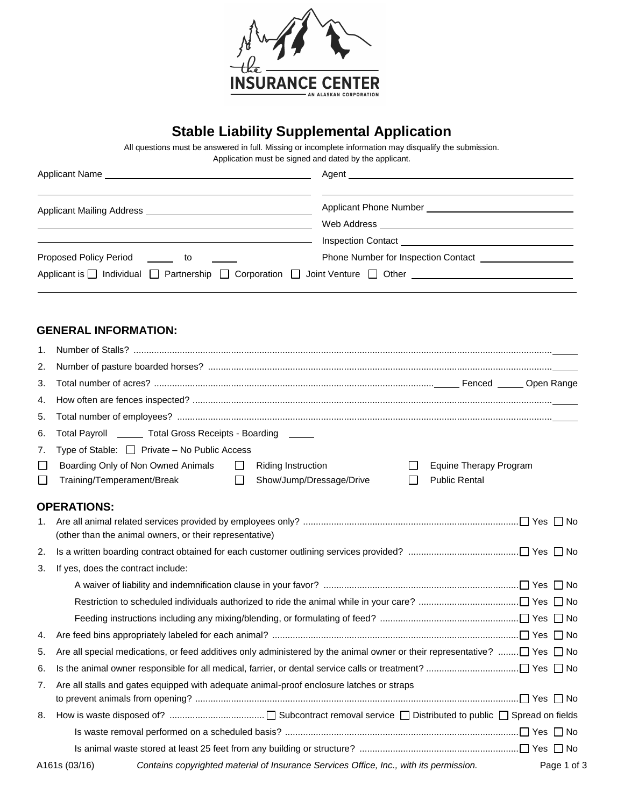

# **Stable Liability Supplemental Application**

All questions must be answered in full. Missing or incomplete information may disqualify the submission.

| Application must be signed and dated by the applicant. |
|--------------------------------------------------------|
|--------------------------------------------------------|

|                                                                                                               | Agent 2008 2009 2010 2021 2022 2023 2024 2022 2023 2024 2022 2023 2024 2022 2023 2024 2022 2023 2024 2022 2023 |
|---------------------------------------------------------------------------------------------------------------|----------------------------------------------------------------------------------------------------------------|
|                                                                                                               |                                                                                                                |
|                                                                                                               | Web Address _________________________                                                                          |
|                                                                                                               | Inspection Contact <b>Exercise Services Contact</b>                                                            |
| Proposed Policy Period <b>Lasselling</b> to <b>Contain to the Container</b>                                   | Phone Number for Inspection Contact                                                                            |
| Applicant is $\Box$ Individual $\Box$ Partnership $\Box$ Corporation $\Box$ Joint Venture $\Box$ Other $\Box$ |                                                                                                                |
|                                                                                                               |                                                                                                                |

### **GENERAL INFORMATION:**

| 1.               |                                                                                                                                                                                                                       |
|------------------|-----------------------------------------------------------------------------------------------------------------------------------------------------------------------------------------------------------------------|
| 2.               |                                                                                                                                                                                                                       |
| 3.               |                                                                                                                                                                                                                       |
| 4.               |                                                                                                                                                                                                                       |
| 5.               |                                                                                                                                                                                                                       |
| 6.               | Total Payroll _______ Total Gross Receipts - Boarding ______                                                                                                                                                          |
| 7.               | Type of Stable: $\Box$ Private – No Public Access                                                                                                                                                                     |
| $\Box$<br>$\Box$ | Boarding Only of Non Owned Animals<br>$\Box$<br><b>Riding Instruction</b><br>Equine Therapy Program<br>$\perp$<br>Training/Temperament/Break<br>Show/Jump/Dressage/Drive<br><b>Public Rental</b><br>$\Box$<br>$\perp$ |
|                  | <b>OPERATIONS:</b>                                                                                                                                                                                                    |
| 1.               | (other than the animal owners, or their representative)                                                                                                                                                               |
| 2.               |                                                                                                                                                                                                                       |
| 3.               | If yes, does the contract include:                                                                                                                                                                                    |
|                  |                                                                                                                                                                                                                       |
|                  |                                                                                                                                                                                                                       |
|                  |                                                                                                                                                                                                                       |
| 4.               |                                                                                                                                                                                                                       |
| 5.               | Are all special medications, or feed additives only administered by the animal owner or their representative? $\Box$ Yes $\Box$ No                                                                                    |
| 6.               |                                                                                                                                                                                                                       |
| 7.               | Are all stalls and gates equipped with adequate animal-proof enclosure latches or straps                                                                                                                              |
| 8.               |                                                                                                                                                                                                                       |
|                  |                                                                                                                                                                                                                       |
|                  |                                                                                                                                                                                                                       |
|                  | Contains copyrighted material of Insurance Services Office, Inc., with its permission.<br>A161s (03/16)<br>Page 1 of 3                                                                                                |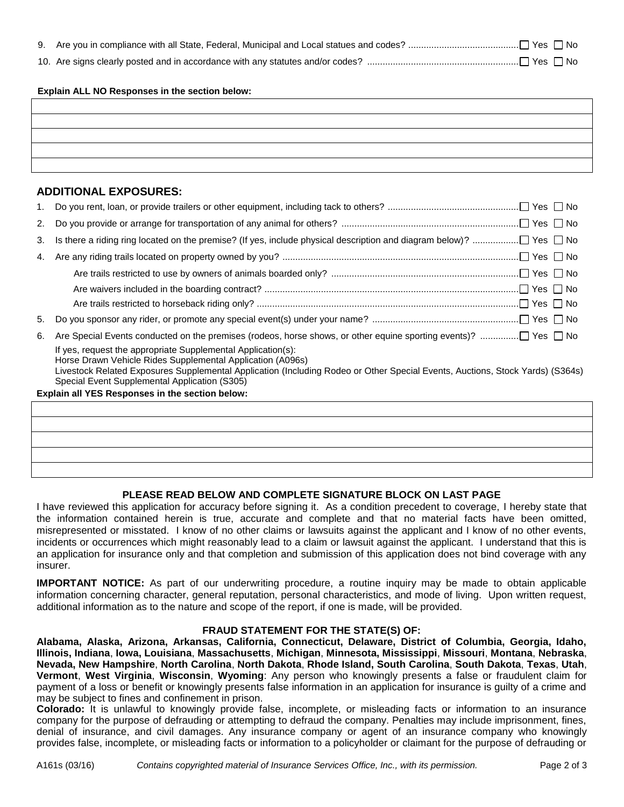#### **Explain ALL NO Responses in the section below:**

## **ADDITIONAL EXPOSURES:**

| 1. |                                                                                                                                                                                                                                                                                                              |
|----|--------------------------------------------------------------------------------------------------------------------------------------------------------------------------------------------------------------------------------------------------------------------------------------------------------------|
| 2. |                                                                                                                                                                                                                                                                                                              |
| 3. |                                                                                                                                                                                                                                                                                                              |
| 4. |                                                                                                                                                                                                                                                                                                              |
|    |                                                                                                                                                                                                                                                                                                              |
|    |                                                                                                                                                                                                                                                                                                              |
|    |                                                                                                                                                                                                                                                                                                              |
| 5. |                                                                                                                                                                                                                                                                                                              |
| 6. | Are Special Events conducted on the premises (rodeos, horse shows, or other equine sporting events)?  Yes □ No                                                                                                                                                                                               |
|    | If yes, request the appropriate Supplemental Application(s):<br>Horse Drawn Vehicle Rides Supplemental Application (A096s)<br>Livestock Related Exposures Supplemental Application (Including Rodeo or Other Special Events, Auctions, Stock Yards) (S364s)<br>Special Event Supplemental Application (S305) |
|    | Explain all YES Responses in the section below:                                                                                                                                                                                                                                                              |
|    |                                                                                                                                                                                                                                                                                                              |

## **PLEASE READ BELOW AND COMPLETE SIGNATURE BLOCK ON LAST PAGE**

I have reviewed this application for accuracy before signing it. As a condition precedent to coverage, I hereby state that the information contained herein is true, accurate and complete and that no material facts have been omitted, misrepresented or misstated. I know of no other claims or lawsuits against the applicant and I know of no other events, incidents or occurrences which might reasonably lead to a claim or lawsuit against the applicant. I understand that this is an application for insurance only and that completion and submission of this application does not bind coverage with any insurer.

**IMPORTANT NOTICE:** As part of our underwriting procedure, a routine inquiry may be made to obtain applicable information concerning character, general reputation, personal characteristics, and mode of living. Upon written request, additional information as to the nature and scope of the report, if one is made, will be provided.

#### **FRAUD STATEMENT FOR THE STATE(S) OF:**

**Alabama, Alaska, Arizona, Arkansas, California, Connecticut, Delaware, District of Columbia, Georgia, Idaho, Illinois, Indiana**, **Iowa, Louisiana**, **Massachusetts**, **Michigan**, **Minnesota, Mississippi**, **Missouri**, **Montana**, **Nebraska**, **Nevada, New Hampshire**, **North Carolina**, **North Dakota**, **Rhode Island, South Carolina**, **South Dakota**, **Texas**, **Utah**, **Vermont**, **West Virginia**, **Wisconsin**, **Wyoming**: Any person who knowingly presents a false or fraudulent claim for payment of a loss or benefit or knowingly presents false information in an application for insurance is guilty of a crime and may be subject to fines and confinement in prison.

**Colorado:** It is unlawful to knowingly provide false, incomplete, or misleading facts or information to an insurance company for the purpose of defrauding or attempting to defraud the company. Penalties may include imprisonment, fines, denial of insurance, and civil damages. Any insurance company or agent of an insurance company who knowingly provides false, incomplete, or misleading facts or information to a policyholder or claimant for the purpose of defrauding or